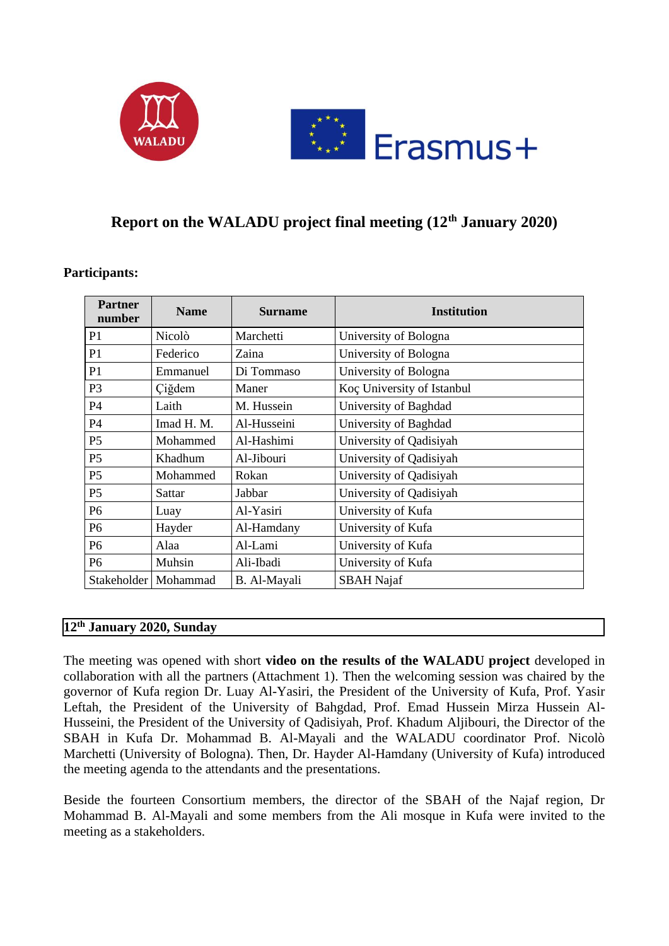

## **Report on the WALADU project final meeting (12th January 2020)**

| <b>Partner</b><br>number | <b>Name</b>            | <b>Surname</b> | <b>Institution</b>         |
|--------------------------|------------------------|----------------|----------------------------|
| P1                       | Nicolò                 | Marchetti      | University of Bologna      |
| P <sub>1</sub>           | Federico               | Zaina          | University of Bologna      |
| P <sub>1</sub>           | Emmanuel               | Di Tommaso     | University of Bologna      |
| P <sub>3</sub>           | Ciğdem                 | Maner          | Koç University of Istanbul |
| P4                       | Laith                  | M. Hussein     | University of Baghdad      |
| P <sub>4</sub>           | Imad H. M.             | Al-Husseini    | University of Baghdad      |
| P <sub>5</sub>           | Mohammed               | Al-Hashimi     | University of Qadisiyah    |
| P <sub>5</sub>           | Khadhum                | Al-Jibouri     | University of Qadisiyah    |
| P <sub>5</sub>           | Mohammed               | Rokan          | University of Qadisiyah    |
| P <sub>5</sub>           | Sattar                 | Jabbar         | University of Qadisiyah    |
| P <sub>6</sub>           | Luay                   | Al-Yasiri      | University of Kufa         |
| P <sub>6</sub>           | Hayder                 | Al-Hamdany     | University of Kufa         |
| P <sub>6</sub>           | Alaa                   | Al-Lami        | University of Kufa         |
| P <sub>6</sub>           | Muhsin                 | Ali-Ibadi      | University of Kufa         |
|                          | Stakeholder   Mohammad | B. Al-Mayali   | <b>SBAH</b> Najaf          |

## **Participants:**

## **12th January 2020, Sunday**

The meeting was opened with short **video on the results of the WALADU project** developed in collaboration with all the partners (Attachment 1). Then the welcoming session was chaired by the governor of Kufa region Dr. Luay Al-Yasiri, the President of the University of Kufa, Prof. Yasir Leftah, the President of the University of Bahgdad, Prof. Emad Hussein Mirza Hussein Al-Husseini, the President of the University of Qadisiyah, Prof. Khadum Aljibouri, the Director of the SBAH in Kufa Dr. Mohammad B. Al-Mayali and the WALADU coordinator Prof. Nicolò Marchetti (University of Bologna). Then, Dr. Hayder Al-Hamdany (University of Kufa) introduced the meeting agenda to the attendants and the presentations.

Beside the fourteen Consortium members, the director of the SBAH of the Najaf region, Dr Mohammad B. Al-Mayali and some members from the Ali mosque in Kufa were invited to the meeting as a stakeholders.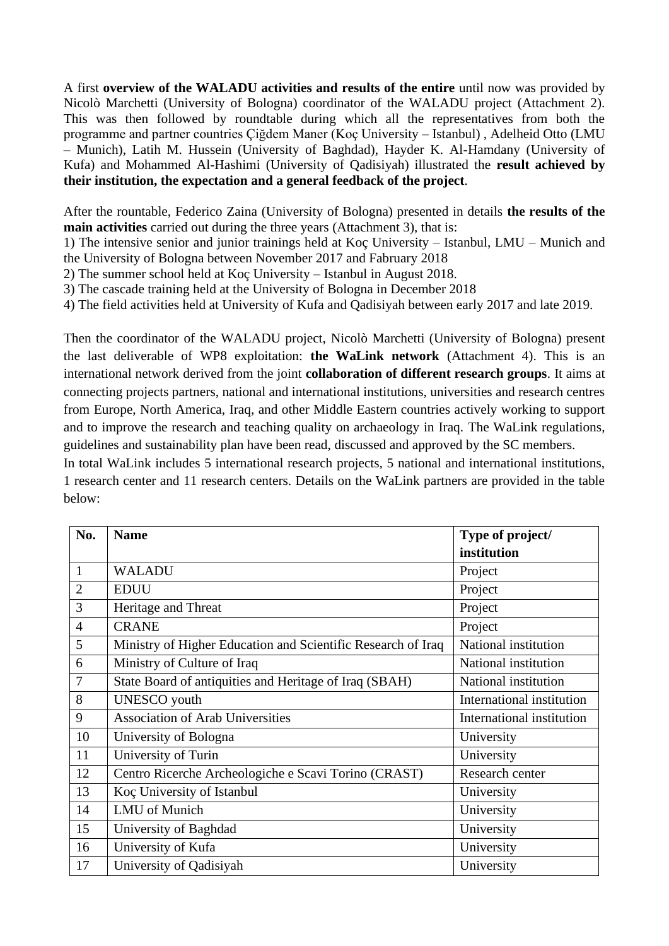A first **overview of the WALADU activities and results of the entire** until now was provided by Nicolò Marchetti (University of Bologna) coordinator of the WALADU project (Attachment 2). This was then followed by roundtable during which all the representatives from both the programme and partner countries Çiğdem Maner (Koç University – Istanbul) , Adelheid Otto (LMU – Munich), Latih M. Hussein (University of Baghdad), Hayder K. Al-Hamdany (University of Kufa) and Mohammed Al-Hashimi (University of Qadisiyah) illustrated the **result achieved by their institution, the expectation and a general feedback of the project**.

After the rountable, Federico Zaina (University of Bologna) presented in details **the results of the main activities** carried out during the three years (Attachment 3), that is:

1) The intensive senior and junior trainings held at Koç University – Istanbul, LMU – Munich and the University of Bologna between November 2017 and Fabruary 2018

2) The summer school held at Koç University – Istanbul in August 2018.

3) The cascade training held at the University of Bologna in December 2018

4) The field activities held at University of Kufa and Qadisiyah between early 2017 and late 2019.

Then the coordinator of the WALADU project, Nicolò Marchetti (University of Bologna) present the last deliverable of WP8 exploitation: **the WaLink network** (Attachment 4). This is an international network derived from the joint **collaboration of different research groups**. It aims at connecting projects partners, national and international institutions, universities and research centres from Europe, North America, Iraq, and other Middle Eastern countries actively working to support and to improve the research and teaching quality on archaeology in Iraq. The WaLink regulations, guidelines and sustainability plan have been read, discussed and approved by the SC members.

In total WaLink includes 5 international research projects, 5 national and international institutions, 1 research center and 11 research centers. Details on the WaLink partners are provided in the table below:

| No.            | <b>Name</b>                                                  | Type of project/          |
|----------------|--------------------------------------------------------------|---------------------------|
|                |                                                              | institution               |
| $\mathbf{1}$   | <b>WALADU</b>                                                | Project                   |
| $\overline{2}$ | <b>EDUU</b>                                                  | Project                   |
| 3              | Heritage and Threat                                          | Project                   |
| $\overline{4}$ | <b>CRANE</b>                                                 | Project                   |
| 5              | Ministry of Higher Education and Scientific Research of Iraq | National institution      |
| 6              | Ministry of Culture of Iraq                                  | National institution      |
| 7              | State Board of antiquities and Heritage of Iraq (SBAH)       | National institution      |
| 8              | <b>UNESCO</b> youth                                          | International institution |
| 9              | <b>Association of Arab Universities</b>                      | International institution |
| 10             | University of Bologna                                        | University                |
| 11             | University of Turin                                          | University                |
| 12             | Centro Ricerche Archeologiche e Scavi Torino (CRAST)         | Research center           |
| 13             | Koç University of Istanbul                                   | University                |
| 14             | <b>LMU</b> of Munich                                         | University                |
| 15             | University of Baghdad                                        | University                |
| 16             | University of Kufa                                           | University                |
| 17             | University of Qadisiyah                                      | University                |